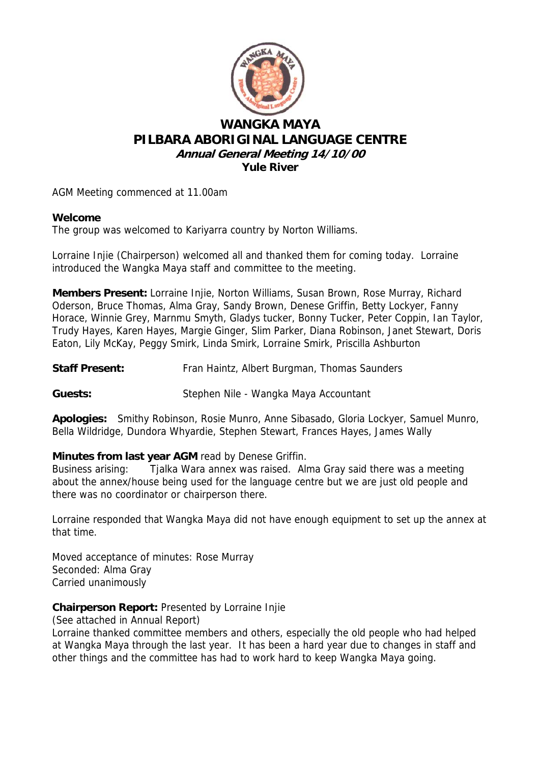

# **WANGKA MAYA PILBARA ABORIGINAL LANGUAGE CENTRE Annual General Meeting 14/10/00 Yule River**

AGM Meeting commenced at 11.00am

## **Welcome**

The group was welcomed to Kariyarra country by Norton Williams.

Lorraine Injie (Chairperson) welcomed all and thanked them for coming today. Lorraine introduced the Wangka Maya staff and committee to the meeting.

**Members Present:** Lorraine Injie, Norton Williams, Susan Brown, Rose Murray, Richard Oderson, Bruce Thomas, Alma Gray, Sandy Brown, Denese Griffin, Betty Lockyer, Fanny Horace, Winnie Grey, Marnmu Smyth, Gladys tucker, Bonny Tucker, Peter Coppin, Ian Taylor, Trudy Hayes, Karen Hayes, Margie Ginger, Slim Parker, Diana Robinson, Janet Stewart, Doris Eaton, Lily McKay, Peggy Smirk, Linda Smirk, Lorraine Smirk, Priscilla Ashburton

**Staff Present:** Fran Haintz, Albert Burgman, Thomas Saunders

**Guests:** Stephen Nile - Wangka Maya Accountant

**Apologies:** Smithy Robinson, Rosie Munro, Anne Sibasado, Gloria Lockyer, Samuel Munro, Bella Wildridge, Dundora Whyardie, Stephen Stewart, Frances Hayes, James Wally

## **Minutes from last year AGM** read by Denese Griffin.

Business arising: Tjalka Wara annex was raised. Alma Gray said there was a meeting about the annex/house being used for the language centre but we are just old people and there was no coordinator or chairperson there.

Lorraine responded that Wangka Maya did not have enough equipment to set up the annex at that time.

Moved acceptance of minutes: Rose Murray Seconded: Alma Gray Carried unanimously

## **Chairperson Report:** Presented by Lorraine Injie

(See attached in Annual Report)

Lorraine thanked committee members and others, especially the old people who had helped at Wangka Maya through the last year. It has been a hard year due to changes in staff and other things and the committee has had to work hard to keep Wangka Maya going.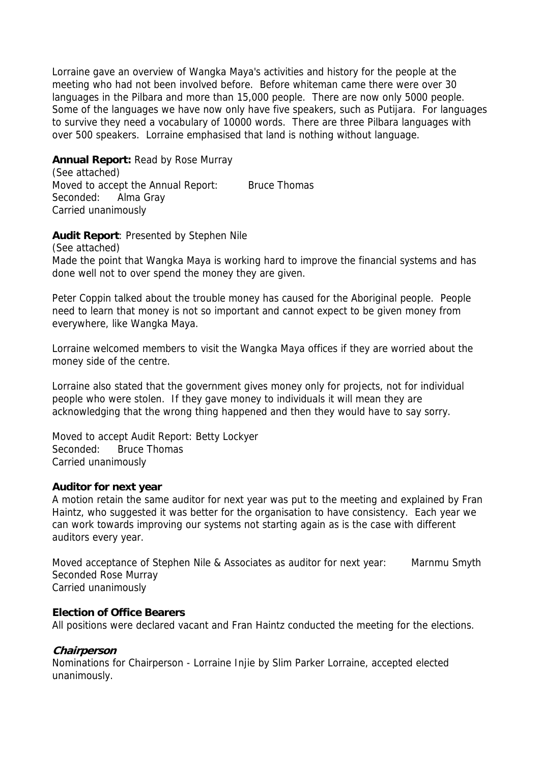Lorraine gave an overview of Wangka Maya's activities and history for the people at the meeting who had not been involved before. Before whiteman came there were over 30 languages in the Pilbara and more than 15,000 people. There are now only 5000 people. Some of the languages we have now only have five speakers, such as Putijara. For languages to survive they need a vocabulary of 10000 words. There are three Pilbara languages with over 500 speakers. Lorraine emphasised that land is nothing without language.

**Annual Report:** Read by Rose Murray (See attached) Moved to accept the Annual Report: Bruce Thomas Seconded: Alma Gray Carried unanimously

**Audit Report**: Presented by Stephen Nile

(See attached)

Made the point that Wangka Maya is working hard to improve the financial systems and has done well not to over spend the money they are given.

Peter Coppin talked about the trouble money has caused for the Aboriginal people. People need to learn that money is not so important and cannot expect to be given money from everywhere, like Wangka Maya.

Lorraine welcomed members to visit the Wangka Maya offices if they are worried about the money side of the centre.

Lorraine also stated that the government gives money only for projects, not for individual people who were stolen. If they gave money to individuals it will mean they are acknowledging that the wrong thing happened and then they would have to say sorry.

Moved to accept Audit Report: Betty Lockyer Seconded: Bruce Thomas Carried unanimously

#### **Auditor for next year**

A motion retain the same auditor for next year was put to the meeting and explained by Fran Haintz, who suggested it was better for the organisation to have consistency. Each year we can work towards improving our systems not starting again as is the case with different auditors every year.

Moved acceptance of Stephen Nile & Associates as auditor for next year: Marnmu Smyth Seconded Rose Murray Carried unanimously

### **Election of Office Bearers**

All positions were declared vacant and Fran Haintz conducted the meeting for the elections.

#### **Chairperson**

Nominations for Chairperson - Lorraine Injie by Slim Parker Lorraine, accepted elected unanimously.